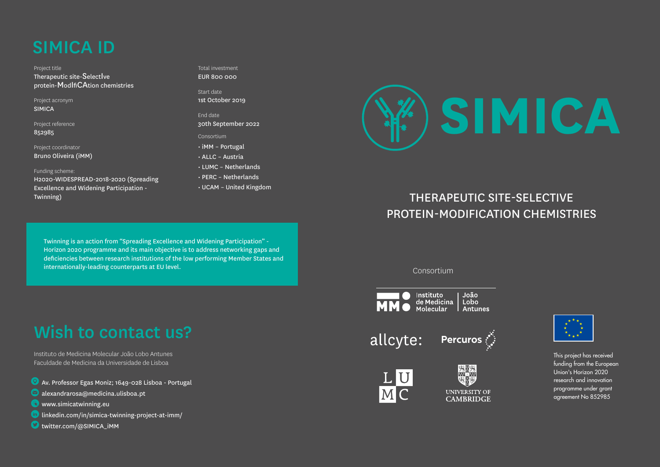# SIMICA ID

Project title Therapeutic site-SelectIve protein-ModIfiCAtion chemistries

Project acronym SIMICA

Project reference

852985

Project coordinator Bruno Oliveira (iMM)

#### Funding scheme:

H2020-WIDESPREAD-2018-2020 (Spreading Excellence and Widening Participation - Twinning)

Total investment EUR 800.000

Start date 1st October 2019

End date 30th September 2022

- Consortium
- iMM Portugal
- ALLC Austria
- LUMC Netherlands
- PERC Netherlands
- UCAM United Kingdom

**SIMICA**

### THERAPEUTIC SITE-SELECTIVE PROTEIN-MODIFICATION CHEMISTRIES

Twinning is an action from "Spreading Excellence and Widening Participation" - Horizon 2020 programme and its main objective is to address networking gaps and deficiencies between research institutions of the low performing Member States and internationally-leading counterparts at EU level. Consortium

# Wish to contact us?

Instituto de Medicina Molecular João Lobo Antunes Faculdade de Medicina da Universidade de Lisboa

Av. Professor Egas Moniz; 1649-028 Lisboa - Portugal

- alexandrarosa@medicina.ulisboa.pt
- **WWW.simicatwinning.eu**
- $\binom{in}{n}$  linkedin.com/in/simica-twinning-project-at-imm/
- **O** twitter.com/@SIMICA\_IMM



allcyte:





紧要 **UNIVERSITY OF CAMBRIDGE** 



This project has received funding from the European Union's Horizon 2020 research and innovation programme under grant agreement No 852985